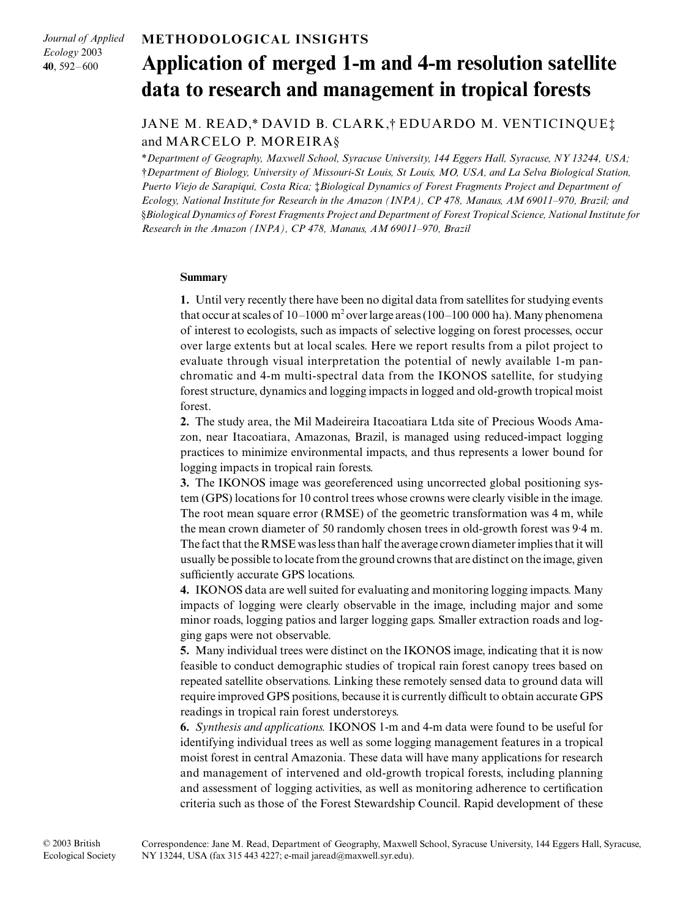# **Application of merged 1-m and 4-m resolution satellite data to research and management in tropical forests**

JANE M. READ,\* DAVID B. CLARK,† EDUARDO M. VENTICINQUE‡ and MARCELO P. MOREIRA§

\**Department of Geography, Maxwell School, Syracuse University, 144 Eggers Hall, Syracuse, NY 13244, USA;*  †*Department of Biology, University of Missouri-St Louis, St Louis, MO, USA, and La Selva Biological Station, Puerto Viejo de Sarapiqui, Costa Rica;* ‡*Biological Dynamics of Forest Fragments Project and Department of Ecology, National Institute for Research in the Amazon (INPA), CP 478, Manaus, AM 69011–970, Brazil; and*  §*Biological Dynamics of Forest Fragments Project and Department of Forest Tropical Science, National Institute for Research in the Amazon (INPA), CP 478, Manaus, AM 69011–970, Brazil* 

## **Summary**

**1.** Until very recently there have been no digital data from satellites for studying events that occur at scales of  $10-1000$  m<sup>2</sup> over large areas (100–100 000 ha). Many phenomena of interest to ecologists, such as impacts of selective logging on forest processes, occur over large extents but at local scales. Here we report results from a pilot project to evaluate through visual interpretation the potential of newly available 1-m panchromatic and 4-m multi-spectral data from the IKONOS satellite, for studying forest structure, dynamics and logging impacts in logged and old-growth tropical moist forest.

**2.** The study area, the Mil Madeireira Itacoatiara Ltda site of Precious Woods Amazon, near Itacoatiara, Amazonas, Brazil, is managed using reduced-impact logging practices to minimize environmental impacts, and thus represents a lower bound for logging impacts in tropical rain forests.

**3.** The IKONOS image was georeferenced using uncorrected global positioning system (GPS) locations for 10 control trees whose crowns were clearly visible in the image. The root mean square error (RMSE) of the geometric transformation was 4 m, while the mean crown diameter of 50 randomly chosen trees in old-growth forest was 9·4 m. The fact that the RMSE was less than half the average crown diameter implies that it will usually be possible to locate from the ground crowns that are distinct on the image, given sufficiently accurate GPS locations.

**4.** IKONOS data are well suited for evaluating and monitoring logging impacts. Many impacts of logging were clearly observable in the image, including major and some minor roads, logging patios and larger logging gaps. Smaller extraction roads and logging gaps were not observable.

**5.** Many individual trees were distinct on the IKONOS image, indicating that it is now feasible to conduct demographic studies of tropical rain forest canopy trees based on repeated satellite observations. Linking these remotely sensed data to ground data will require improved GPS positions, because it is currently difficult to obtain accurate GPS readings in tropical rain forest understoreys.

**6.** *Synthesis and applications.* IKONOS 1-m and 4-m data were found to be useful for identifying individual trees as well as some logging management features in a tropical moist forest in central Amazonia. These data will have many applications for research and management of intervened and old-growth tropical forests, including planning and assessment of logging activities, as well as monitoring adherence to certification criteria such as those of the Forest Stewardship Council. Rapid development of these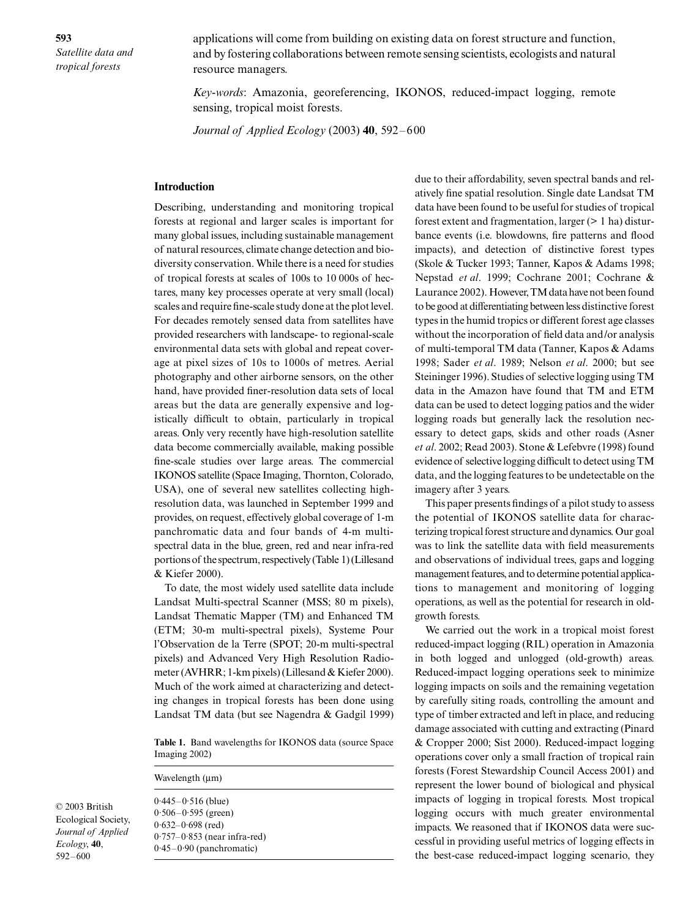applications will come from building on existing data on forest structure and function, and by fostering collaborations between remote sensing scientists, ecologists and natural resource managers.

*Key-words*: Amazonia, georeferencing, IKONOS, reduced-impact logging, remote sensing, tropical moist forests.

*Journal of Applied Ecology* (2003) **40**, 592–600

## **Introduction**

Describing, understanding and monitoring tropical forests at regional and larger scales is important for many global issues, including sustainable management of natural resources, climate change detection and biodiversity conservation. While there is a need for studies of tropical forests at scales of 100s to 10 000s of hectares, many key processes operate at very small (local) scales and require fine-scale study done at the plot level. For decades remotely sensed data from satellites have provided researchers with landscape- to regional-scale environmental data sets with global and repeat coverage at pixel sizes of 10s to 1000s of metres. Aerial photography and other airborne sensors, on the other hand, have provided finer-resolution data sets of local areas but the data are generally expensive and logistically difficult to obtain, particularly in tropical areas. Only very recently have high-resolution satellite data become commercially available, making possible fine-scale studies over large areas. The commercial IKONOS satellite (Space Imaging, Thornton, Colorado, USA), one of several new satellites collecting highresolution data, was launched in September 1999 and provides, on request, effectively global coverage of 1-m panchromatic data and four bands of 4-m multispectral data in the blue, green, red and near infra-red portions of the spectrum, respectively (Table 1) (Lillesand & Kiefer 2000).

To date, the most widely used satellite data include Landsat Multi-spectral Scanner (MSS; 80 m pixels), Landsat Thematic Mapper (TM) and Enhanced TM (ETM; 30-m multi-spectral pixels), Systeme Pour l'Observation de la Terre (SPOT; 20-m multi-spectral pixels) and Advanced Very High Resolution Radiometer (AVHRR; 1-km pixels) (Lillesand & Kiefer 2000). Much of the work aimed at characterizing and detecting changes in tropical forests has been done using Landsat TM data (but see Nagendra & Gadgil 1999)

**Table 1.** Band wavelengths for IKONOS data (source Space Imaging 2002)

#### Wavelength (µm)

© 2003 British Ecological Society, *Journal of Applied Ecology*, **40**, 592–600

0·445–0·516 (blue) 0·506–0·595 (green) 0·632–0·698 (red) 0·757–0·853 (near infra-red) 0·45–0·90 (panchromatic)

due to their affordability, seven spectral bands and relatively fine spatial resolution. Single date Landsat TM data have been found to be useful for studies of tropical forest extent and fragmentation, larger (> 1 ha) disturbance events (i.e. blowdowns, fire patterns and flood impacts), and detection of distinctive forest types (Skole & Tucker 1993; Tanner, Kapos & Adams 1998; Nepstad *et al*. 1999; Cochrane 2001; Cochrane & Laurance 2002). However, TM data have not been found to be good at differentiating between less distinctive forest types in the humid tropics or different forest age classes without the incorporation of field data and/or analysis of multi-temporal TM data (Tanner, Kapos & Adams 1998; Sader *et al*. 1989; Nelson *et al*. 2000; but see Steininger 1996). Studies of selective logging using TM data in the Amazon have found that TM and ETM data can be used to detect logging patios and the wider logging roads but generally lack the resolution necessary to detect gaps, skids and other roads (Asner *et al*. 2002; Read 2003). Stone & Lefebvre (1998) found evidence of selective logging difficult to detect using TM data, and the logging features to be undetectable on the imagery after 3 years.

This paper presents findings of a pilot study to assess the potential of IKONOS satellite data for characterizing tropical forest structure and dynamics. Our goal was to link the satellite data with field measurements and observations of individual trees, gaps and logging management features, and to determine potential applications to management and monitoring of logging operations, as well as the potential for research in oldgrowth forests.

We carried out the work in a tropical moist forest reduced-impact logging (RIL) operation in Amazonia in both logged and unlogged (old-growth) areas. Reduced-impact logging operations seek to minimize logging impacts on soils and the remaining vegetation by carefully siting roads, controlling the amount and type of timber extracted and left in place, and reducing damage associated with cutting and extracting (Pinard & Cropper 2000; Sist 2000). Reduced-impact logging operations cover only a small fraction of tropical rain forests (Forest Stewardship Council Access 2001) and represent the lower bound of biological and physical impacts of logging in tropical forests. Most tropical logging occurs with much greater environmental impacts. We reasoned that if IKONOS data were successful in providing useful metrics of logging effects in the best-case reduced-impact logging scenario, they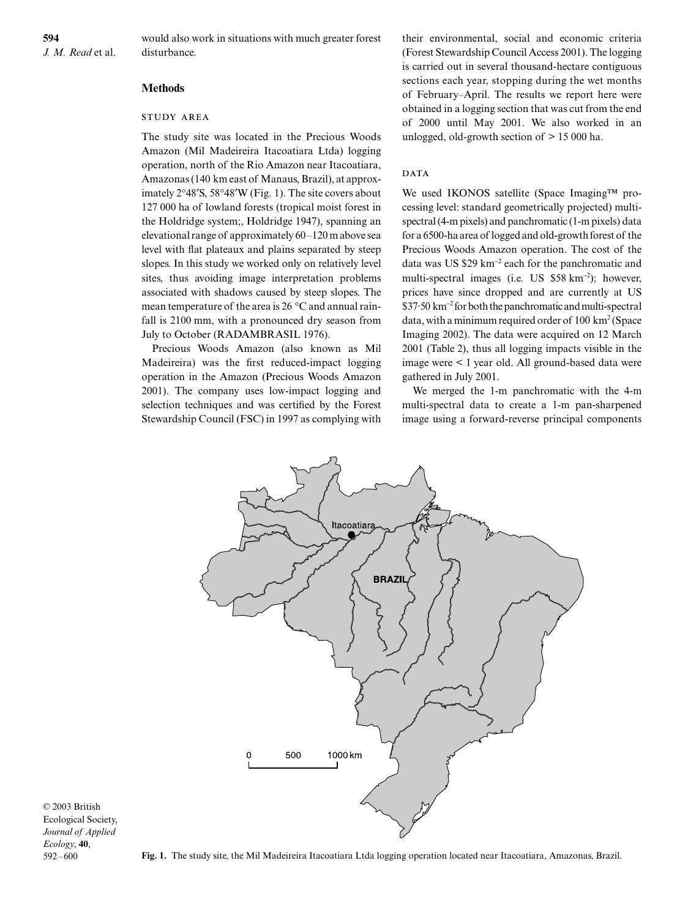would also work in situations with much greater forest disturbance.

#### **Methods**

## **STUDY AREA**

The study site was located in the Precious Woods Amazon (Mil Madeireira Itacoatiara Ltda) logging operation, north of the Rio Amazon near Itacoatiara, Amazonas (140 km east of Manaus, Brazil), at approximately 2°48′S, 58°48′W (Fig. 1). The site covers about 127 000 ha of lowland forests (tropical moist forest in the Holdridge system;, Holdridge 1947), spanning an elevational range of approximately 60–120 m above sea level with flat plateaux and plains separated by steep slopes. In this study we worked only on relatively level sites, thus avoiding image interpretation problems associated with shadows caused by steep slopes. The mean temperature of the area is 26 °C and annual rainfall is 2100 mm, with a pronounced dry season from July to October (RADAMBRASIL 1976).

Precious Woods Amazon (also known as Mil Madeireira) was the first reduced-impact logging operation in the Amazon (Precious Woods Amazon 2001). The company uses low-impact logging and selection techniques and was certified by the Forest Stewardship Council (FSC) in 1997 as complying with

their environmental, social and economic criteria (Forest Stewardship Council Access 2001). The logging is carried out in several thousand-hectare contiguous sections each year, stopping during the wet months of February–April. The results we report here were obtained in a logging section that was cut from the end of 2000 until May 2001. We also worked in an unlogged, old-growth section of  $> 15000$  ha.

#### **DATA**

We used IKONOS satellite (Space Imaging™ processing level: standard geometrically projected) multispectral (4-m pixels) and panchromatic (1-m pixels) data for a 6500-ha area of logged and old-growth forest of the Precious Woods Amazon operation. The cost of the data was US \$29 km<sup>−</sup><sup>2</sup> each for the panchromatic and multi-spectral images (i.e. US \$58 km<sup>−</sup><sup>2</sup> ); however, prices have since dropped and are currently at US \$37·50 km<sup>−</sup><sup>2</sup> for both the panchromatic and multi-spectral data, with a minimum required order of  $100 \text{ km}^2$  (Space Imaging 2002). The data were acquired on 12 March 2001 (Table 2), thus all logging impacts visible in the image were < 1 year old. All ground-based data were gathered in July 2001.

We merged the 1-m panchromatic with the 4-m multi-spectral data to create a 1-m pan-sharpened image using a forward-reverse principal components



**Fig. 1.** The study site, the Mil Madeireira Itacoatiara Ltda logging operation located near Itacoatiara, Amazonas, Brazil.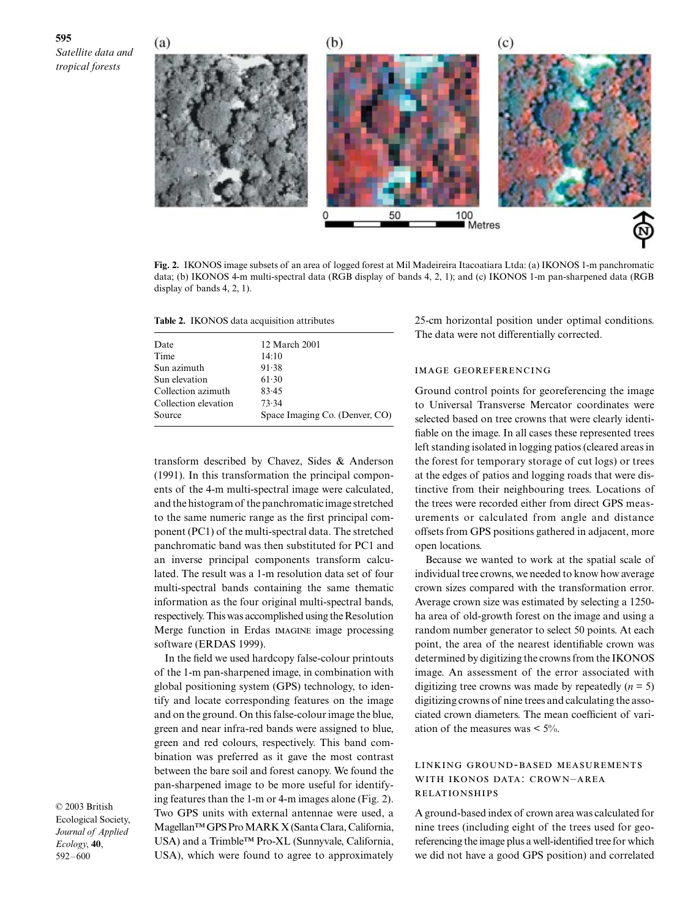

 $(a)$ 

 $(b)$ 



**Fig. 2.** IKONOS image subsets of an area of logged forest at Mil Madeireira Itacoatiara Ltda: (a) IKONOS 1-m panchromatic data; (b) IKONOS 4-m multi-spectral data (RGB display of bands 4, 2, 1); and (c) IKONOS 1-m pan-sharpened data (RGB display of bands 4, 2, 1).

**Table 2.** IKONOS data acquisition attributes

| Date                 | 12 March 2001                  |
|----------------------|--------------------------------|
| Time                 | 14:10                          |
| Sun azimuth          | 91.38                          |
| Sun elevation        | 61.30                          |
| Collection azimuth   | 83.45                          |
| Collection elevation | 73.34                          |
| Source               | Space Imaging Co. (Denver, CO) |
|                      |                                |

transform described by Chavez, Sides & Anderson (1991). In this transformation the principal components of the 4-m multi-spectral image were calculated, and the histogram of the panchromatic image stretched to the same numeric range as the first principal component (PC1) of the multi-spectral data. The stretched panchromatic band was then substituted for PC1 and an inverse principal components transform calculated. The result was a 1-m resolution data set of four multi-spectral bands containing the same thematic information as the four original multi-spectral bands, respectively. This was accomplished using the Resolution Merge function in Erdas IMAGINE image processing software (ERDAS 1999).

In the field we used hardcopy false-colour printouts of the 1-m pan-sharpened image, in combination with global positioning system (GPS) technology, to identify and locate corresponding features on the image and on the ground. On this false-colour image the blue, green and near infra-red bands were assigned to blue, green and red colours, respectively. This band combination was preferred as it gave the most contrast between the bare soil and forest canopy. We found the pan-sharpened image to be more useful for identifying features than the 1-m or 4-m images alone (Fig. 2). Two GPS units with external antennae were used, a Magellan™ GPS Pro MARK X (Santa Clara, California, USA) and a Trimble™ Pro-XL (Sunnyvale, California, USA), which were found to agree to approximately

© 2003 British Ecological Society, *Journal of Applied Ecology*, **40**, 592–600

25-cm horizontal position under optimal conditions. The data were not differentially corrected.

## **IMAGE GEOREFERENCING**

Ground control points for georeferencing the image to Universal Transverse Mercator coordinates were selected based on tree crowns that were clearly identifiable on the image. In all cases these represented trees left standing isolated in logging patios (cleared areas in the forest for temporary storage of cut logs) or trees at the edges of patios and logging roads that were distinctive from their neighbouring trees. Locations of the trees were recorded either from direct GPS measurements or calculated from angle and distance offsets from GPS positions gathered in adjacent, more open locations.

Because we wanted to work at the spatial scale of individual tree crowns, we needed to know how average crown sizes compared with the transformation error. Average crown size was estimated by selecting a 1250 ha area of old-growth forest on the image and using a random number generator to select 50 points. At each point, the area of the nearest identifiable crown was determined by digitizing the crowns from the IKONOS image. An assessment of the error associated with digitizing tree crowns was made by repeatedly  $(n = 5)$ digitizing crowns of nine trees and calculating the associated crown diameters. The mean coefficient of variation of the measures was  $\leq 5\%$ .

# LINKING GROUND-BASED MEASUREMENTS WITH IKONOS DATA: CROWN-AREA **RELATIONSHIPS**

A ground-based index of crown area was calculated for nine trees (including eight of the trees used for georeferencing the image plus a well-identified tree for which we did not have a good GPS position) and correlated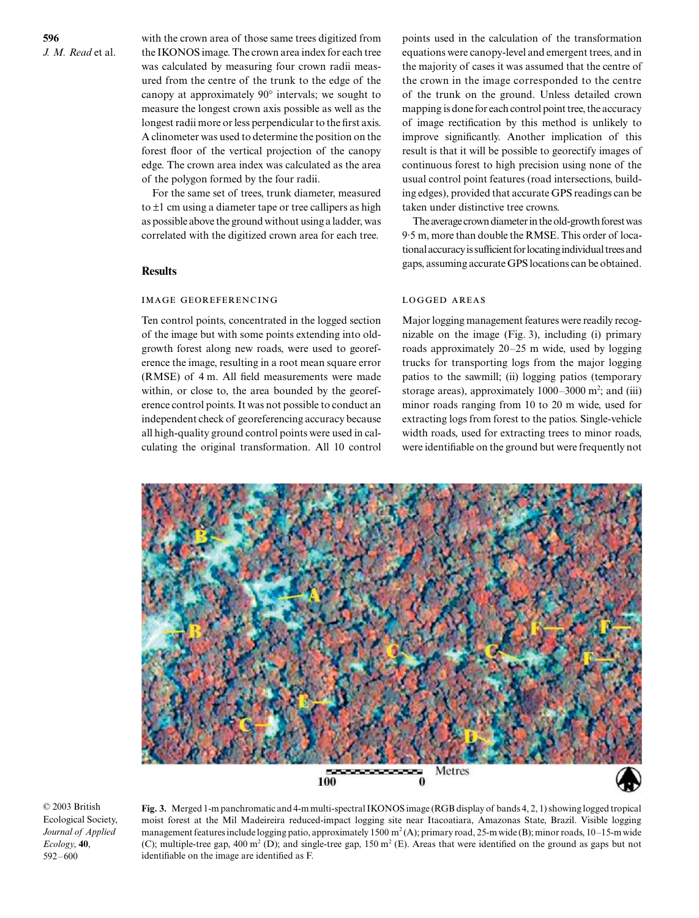with the crown area of those same trees digitized from the IKONOS image. The crown area index for each tree was calculated by measuring four crown radii measured from the centre of the trunk to the edge of the canopy at approximately 90° intervals; we sought to measure the longest crown axis possible as well as the longest radii more or less perpendicular to the first axis. A clinometer was used to determine the position on the forest floor of the vertical projection of the canopy edge. The crown area index was calculated as the area of the polygon formed by the four radii.

For the same set of trees, trunk diameter, measured to  $\pm 1$  cm using a diameter tape or tree callipers as high as possible above the ground without using a ladder, was correlated with the digitized crown area for each tree.

#### **Results**

#### **IMAGE GEOREFERENCING**

Ten control points, concentrated in the logged section of the image but with some points extending into oldgrowth forest along new roads, were used to georeference the image, resulting in a root mean square error (RMSE) of 4 m. All field measurements were made within, or close to, the area bounded by the georeference control points. It was not possible to conduct an independent check of georeferencing accuracy because all high-quality ground control points were used in calculating the original transformation. All 10 control

points used in the calculation of the transformation equations were canopy-level and emergent trees, and in the majority of cases it was assumed that the centre of the crown in the image corresponded to the centre of the trunk on the ground. Unless detailed crown mapping is done for each control point tree, the accuracy of image rectification by this method is unlikely to improve significantly. Another implication of this result is that it will be possible to georectify images of continuous forest to high precision using none of the usual control point features (road intersections, building edges), provided that accurate GPS readings can be taken under distinctive tree crowns.

The average crown diameter in the old-growth forest was 9·5 m, more than double the RMSE. This order of locational accuracy is sufficient for locating individual trees and gaps, assuming accurate GPS locations can be obtained.

#### **LOGGED AREAS**

Major logging management features were readily recognizable on the image (Fig. 3), including (i) primary roads approximately 20–25 m wide, used by logging trucks for transporting logs from the major logging patios to the sawmill; (ii) logging patios (temporary storage areas), approximately  $1000-3000$  m<sup>2</sup>; and (iii) minor roads ranging from 10 to 20 m wide, used for extracting logs from forest to the patios. Single-vehicle width roads, used for extracting trees to minor roads, were identifiable on the ground but were frequently not



**Fig. 3.** Merged 1-m panchromatic and 4-m multi-spectral IKONOS image (RGB display of bands 4, 2, 1) showing logged tropical moist forest at the Mil Madeireira reduced-impact logging site near Itacoatiara, Amazonas State, Brazil. Visible logging management features include logging patio, approximately 1500 m<sup>2</sup>(A); primary road, 25-m wide (B); minor roads, 10–15-m wide (C); multiple-tree gap, 400  $\text{m}^2$  (D); and single-tree gap, 150  $\text{m}^2$  (E). Areas that were identified on the ground as gaps but not identifiable on the image are identified as F.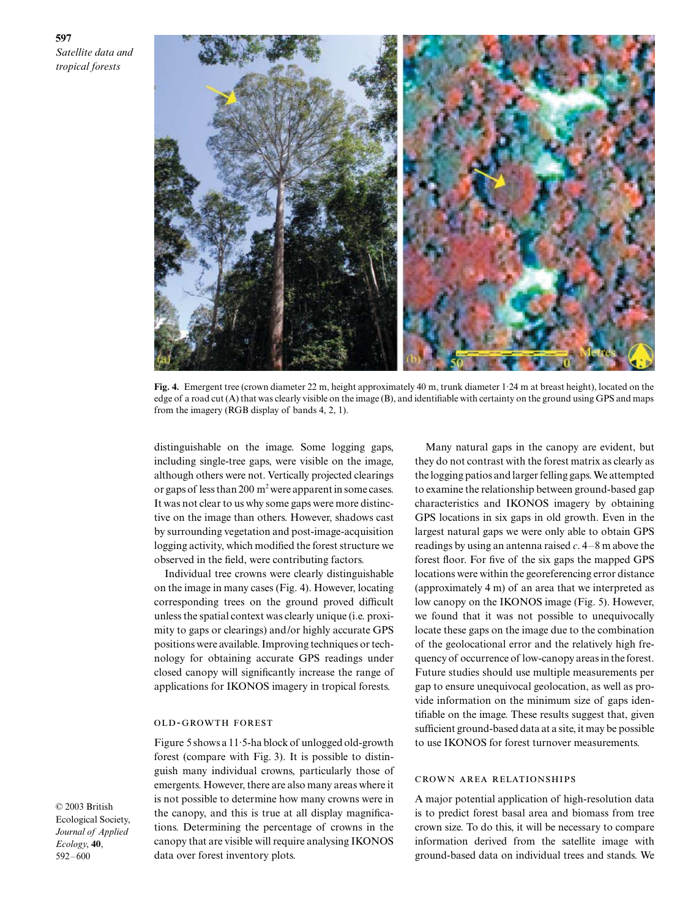**597** *Satellite data and tropical forests*



**Fig. 4.** Emergent tree (crown diameter 22 m, height approximately 40 m, trunk diameter 1·24 m at breast height), located on the edge of a road cut (A) that was clearly visible on the image (B), and identifiable with certainty on the ground using GPS and maps from the imagery (RGB display of bands 4, 2, 1).

distinguishable on the image. Some logging gaps, including single-tree gaps, were visible on the image, although others were not. Vertically projected clearings or gaps of less than 200  $m<sup>2</sup>$  were apparent in some cases. It was not clear to us why some gaps were more distinctive on the image than others. However, shadows cast by surrounding vegetation and post-image-acquisition logging activity, which modified the forest structure we observed in the field, were contributing factors.

Individual tree crowns were clearly distinguishable on the image in many cases (Fig. 4). However, locating corresponding trees on the ground proved difficult unless the spatial context was clearly unique (i.e. proximity to gaps or clearings) and/or highly accurate GPS positions were available. Improving techniques or technology for obtaining accurate GPS readings under closed canopy will significantly increase the range of applications for IKONOS imagery in tropical forests.

## **OLD-GROWTH FOREST**

Figure 5 shows a 11·5-ha block of unlogged old-growth forest (compare with Fig. 3). It is possible to distinguish many individual crowns, particularly those of emergents. However, there are also many areas where it is not possible to determine how many crowns were in the canopy, and this is true at all display magnifications. Determining the percentage of crowns in the canopy that are visible will require analysing IKONOS data over forest inventory plots.

Many natural gaps in the canopy are evident, but they do not contrast with the forest matrix as clearly as the logging patios and larger felling gaps. We attempted to examine the relationship between ground-based gap characteristics and IKONOS imagery by obtaining GPS locations in six gaps in old growth. Even in the largest natural gaps we were only able to obtain GPS readings by using an antenna raised *c*. 4–8 m above the forest floor. For five of the six gaps the mapped GPS locations were within the georeferencing error distance (approximately 4 m) of an area that we interpreted as low canopy on the IKONOS image (Fig. 5). However, we found that it was not possible to unequivocally locate these gaps on the image due to the combination of the geolocational error and the relatively high frequency of occurrence of low-canopy areas in the forest. Future studies should use multiple measurements per gap to ensure unequivocal geolocation, as well as provide information on the minimum size of gaps identifiable on the image. These results suggest that, given sufficient ground-based data at a site, it may be possible to use IKONOS for forest turnover measurements.

## CROWN AREA RELATIONSHIPS

A major potential application of high-resolution data is to predict forest basal area and biomass from tree crown size. To do this, it will be necessary to compare information derived from the satellite image with ground-based data on individual trees and stands. We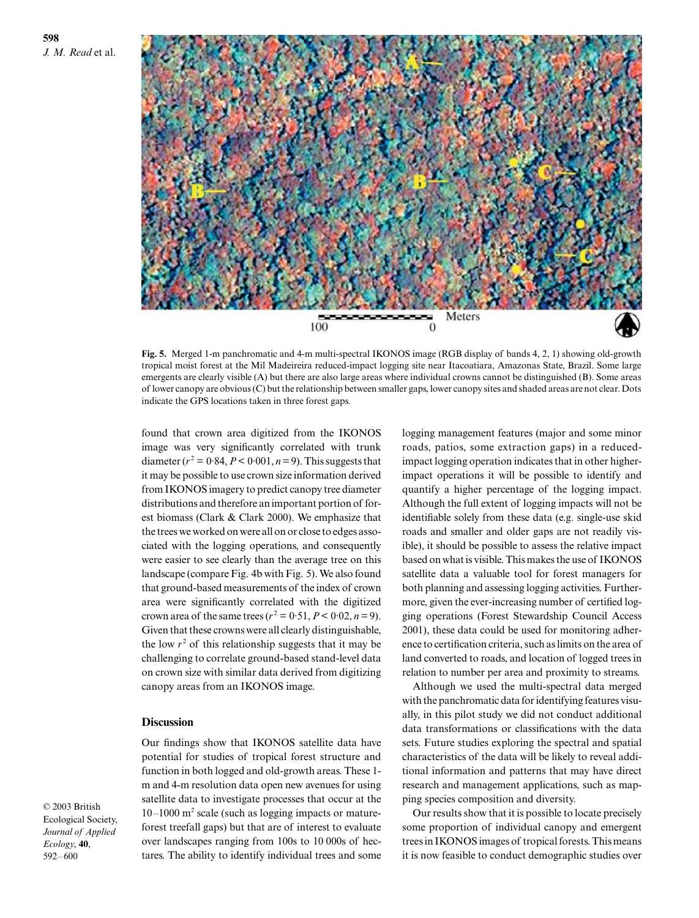

**Fig. 5.** Merged 1-m panchromatic and 4-m multi-spectral IKONOS image (RGB display of bands 4, 2, 1) showing old-growth tropical moist forest at the Mil Madeireira reduced-impact logging site near Itacoatiara, Amazonas State, Brazil. Some large emergents are clearly visible (A) but there are also large areas where individual crowns cannot be distinguished (B). Some areas of lower canopy are obvious (C) but the relationship between smaller gaps, lower canopy sites and shaded areas are not clear. Dots indicate the GPS locations taken in three forest gaps.

found that crown area digitized from the IKONOS image was very significantly correlated with trunk diameter ( $r^2 = 0.84$ ,  $P < 0.001$ ,  $n = 9$ ). This suggests that it may be possible to use crown size information derived from IKONOS imagery to predict canopy tree diameter distributions and therefore an important portion of forest biomass (Clark & Clark 2000). We emphasize that the trees we worked on were all on or close to edges associated with the logging operations, and consequently were easier to see clearly than the average tree on this landscape (compare Fig. 4b with Fig. 5). We also found that ground-based measurements of the index of crown area were significantly correlated with the digitized crown area of the same trees  $(r^2 = 0.51, P < 0.02, n = 9)$ . Given that these crowns were all clearly distinguishable, the low  $r^2$  of this relationship suggests that it may be challenging to correlate ground-based stand-level data on crown size with similar data derived from digitizing canopy areas from an IKONOS image.

## **Discussion**

Our findings show that IKONOS satellite data have potential for studies of tropical forest structure and function in both logged and old-growth areas. These 1 m and 4-m resolution data open new avenues for using satellite data to investigate processes that occur at the  $10-1000$  m<sup>2</sup> scale (such as logging impacts or matureforest treefall gaps) but that are of interest to evaluate over landscapes ranging from 100s to 10 000s of hectares. The ability to identify individual trees and some logging management features (major and some minor roads, patios, some extraction gaps) in a reducedimpact logging operation indicates that in other higherimpact operations it will be possible to identify and quantify a higher percentage of the logging impact. Although the full extent of logging impacts will not be identifiable solely from these data (e.g. single-use skid roads and smaller and older gaps are not readily visible), it should be possible to assess the relative impact based on what is visible. This makes the use of IKONOS satellite data a valuable tool for forest managers for both planning and assessing logging activities. Furthermore, given the ever-increasing number of certified logging operations (Forest Stewardship Council Access 2001), these data could be used for monitoring adherence to certification criteria, such as limits on the area of land converted to roads, and location of logged trees in relation to number per area and proximity to streams.

Although we used the multi-spectral data merged with the panchromatic data for identifying features visually, in this pilot study we did not conduct additional data transformations or classifications with the data sets. Future studies exploring the spectral and spatial characteristics of the data will be likely to reveal additional information and patterns that may have direct research and management applications, such as mapping species composition and diversity.

Our results show that it is possible to locate precisely some proportion of individual canopy and emergent trees in IKONOS images of tropical forests. This means it is now feasible to conduct demographic studies over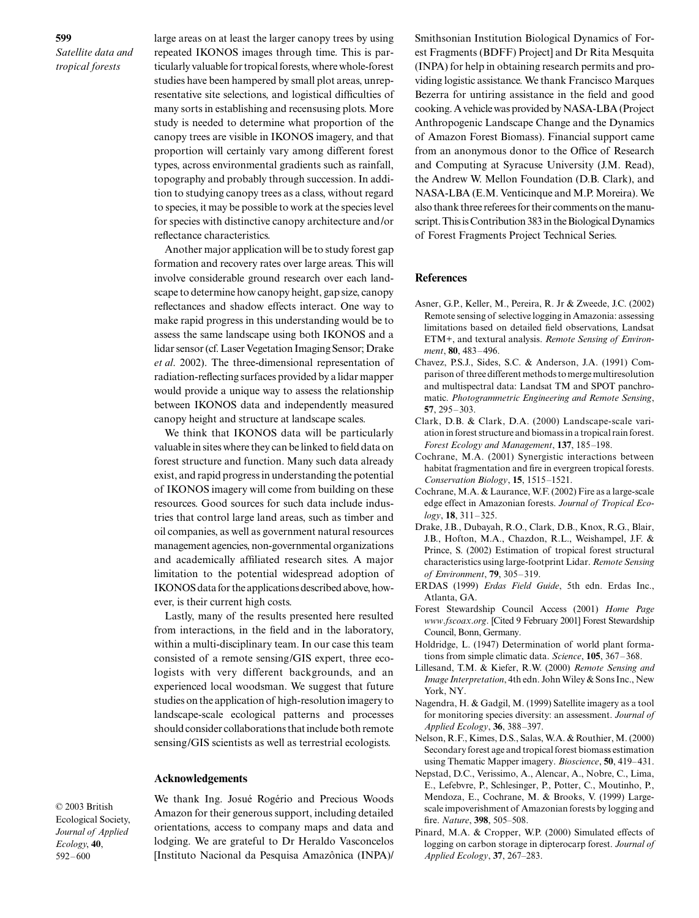**599** *Satellite data and tropical forests*

large areas on at least the larger canopy trees by using repeated IKONOS images through time. This is particularly valuable for tropical forests, where whole-forest studies have been hampered by small plot areas, unrepresentative site selections, and logistical difficulties of many sorts in establishing and recensusing plots. More study is needed to determine what proportion of the canopy trees are visible in IKONOS imagery, and that proportion will certainly vary among different forest types, across environmental gradients such as rainfall, topography and probably through succession. In addition to studying canopy trees as a class, without regard to species, it may be possible to work at the species level for species with distinctive canopy architecture and/or reflectance characteristics.

Another major application will be to study forest gap formation and recovery rates over large areas. This will involve considerable ground research over each landscape to determine how canopy height, gap size, canopy reflectances and shadow effects interact. One way to make rapid progress in this understanding would be to assess the same landscape using both IKONOS and a lidar sensor (cf. Laser Vegetation Imaging Sensor; Drake *et al*. 2002). The three-dimensional representation of radiation-reflecting surfaces provided by a lidar mapper would provide a unique way to assess the relationship between IKONOS data and independently measured canopy height and structure at landscape scales.

We think that IKONOS data will be particularly valuable in sites where they can be linked to field data on forest structure and function. Many such data already exist, and rapid progress in understanding the potential of IKONOS imagery will come from building on these resources. Good sources for such data include industries that control large land areas, such as timber and oil companies, as well as government natural resources management agencies, non-governmental organizations and academically affiliated research sites. A major limitation to the potential widespread adoption of IKONOS data for the applications described above, however, is their current high costs.

Lastly, many of the results presented here resulted from interactions, in the field and in the laboratory, within a multi-disciplinary team. In our case this team consisted of a remote sensing/GIS expert, three ecologists with very different backgrounds, and an experienced local woodsman. We suggest that future studies on the application of high-resolution imagery to landscape-scale ecological patterns and processes should consider collaborations that include both remote sensing/GIS scientists as well as terrestrial ecologists.

#### **Acknowledgements**

© 2003 British Ecological Society, *Journal of Applied Ecology*, **40**, 592–600

We thank Ing. Josué Rogério and Precious Woods Amazon for their generous support, including detailed orientations, access to company maps and data and lodging. We are grateful to Dr Heraldo Vasconcelos [Instituto Nacional da Pesquisa Amazônica (INPA)/

Smithsonian Institution Biological Dynamics of Forest Fragments (BDFF) Project] and Dr Rita Mesquita (INPA) for help in obtaining research permits and providing logistic assistance. We thank Francisco Marques Bezerra for untiring assistance in the field and good cooking. A vehicle was provided by NASA-LBA (Project Anthropogenic Landscape Change and the Dynamics of Amazon Forest Biomass). Financial support came from an anonymous donor to the Office of Research and Computing at Syracuse University (J.M. Read), the Andrew W. Mellon Foundation (D.B. Clark), and NASA-LBA (E.M. Venticinque and M.P. Moreira). We also thank three referees for their comments on the manuscript. This is Contribution 383 in the Biological Dynamics of Forest Fragments Project Technical Series.

#### **References**

- Asner, G.P., Keller, M., Pereira, R. Jr & Zweede, J.C. (2002) Remote sensing of selective logging in Amazonia: assessing limitations based on detailed field observations, Landsat ETM+, and textural analysis. *Remote Sensing of Environment*, **80**, 483–496.
- Chavez, P.S.J., Sides, S.C. & Anderson, J.A. (1991) Comparison of three different methods to merge multiresolution and multispectral data: Landsat TM and SPOT panchromatic. *Photogrammetric Engineering and Remote Sensing*, **57**, 295–303.
- Clark, D.B. & Clark, D.A. (2000) Landscape-scale variation in forest structure and biomass in a tropical rain forest. *Forest Ecology and Management*, **137**, 185–198.
- Cochrane, M.A. (2001) Synergistic interactions between habitat fragmentation and fire in evergreen tropical forests. *Conservation Biology*, **15**, 1515–1521.
- Cochrane, M.A. & Laurance, W.F. (2002) Fire as a large-scale edge effect in Amazonian forests. *Journal of Tropical Ecology*, **18**, 311–325.
- Drake, J.B., Dubayah, R.O., Clark, D.B., Knox, R.G., Blair, J.B., Hofton, M.A., Chazdon, R.L., Weishampel, J.F. & Prince, S. (2002) Estimation of tropical forest structural characteristics using large-footprint Lidar. *Remote Sensing of Environment*, **79**, 305–319.
- ERDAS (1999) *Erdas Field Guide*, 5th edn. Erdas Inc., Atlanta, GA.
- Forest Stewardship Council Access (2001) *Home Page www*.*fscoax*.*org*. [Cited 9 February 2001] Forest Stewardship Council, Bonn, Germany.
- Holdridge, L. (1947) Determination of world plant formations from simple climatic data. *Science*, **105**, 367–368.
- Lillesand, T.M. & Kiefer, R.W. (2000) *Remote Sensing and Image Interpretation*, 4th edn. John Wiley & Sons Inc., New York, NY.
- Nagendra, H. & Gadgil, M. (1999) Satellite imagery as a tool for monitoring species diversity: an assessment. *Journal of Applied Ecology*, **36**, 388–397.
- Nelson, R.F., Kimes, D.S., Salas, W.A. & Routhier, M. (2000) Secondary forest age and tropical forest biomass estimation using Thematic Mapper imagery. *Bioscience*, **50**, 419–431.
- Nepstad, D.C., Verissimo, A., Alencar, A., Nobre, C., Lima, E., Lefebvre, P., Schlesinger, P., Potter, C., Moutinho, P., Mendoza, E., Cochrane, M. & Brooks, V. (1999) Largescale impoverishment of Amazonian forests by logging and fire. *Nature*, **398**, 505–508.
- Pinard, M.A. & Cropper, W.P. (2000) Simulated effects of logging on carbon storage in dipterocarp forest. *Journal of Applied Ecology*, **37**, 267–283.